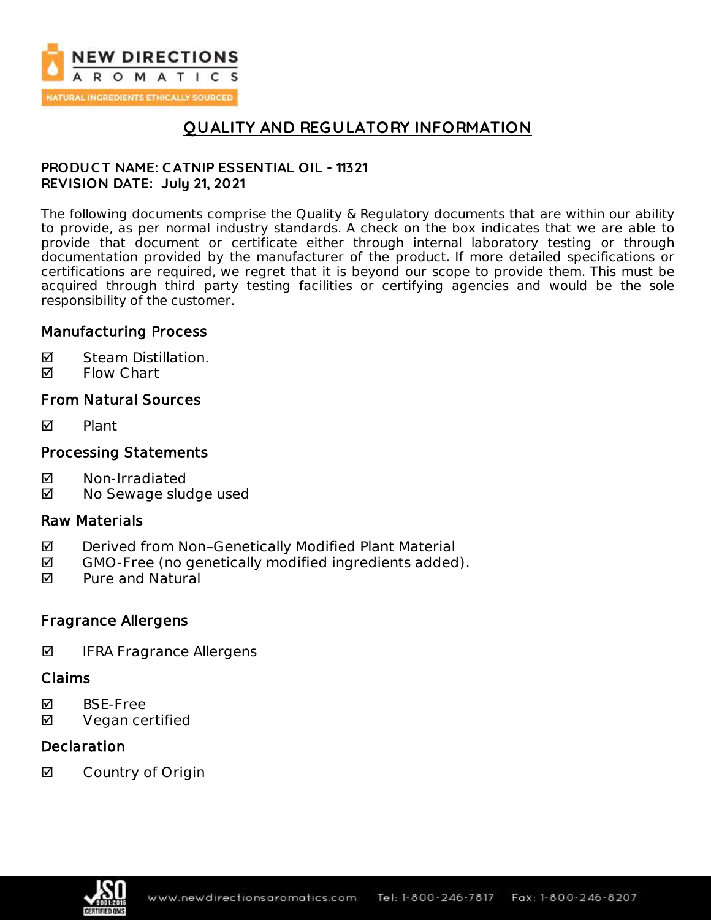

# **QUALITY AND REGULATORY INFORMATION**

## **PRODUC T NAME: C ATNIP ESSENTIAL OIL - 11321 REVISION DATE: July 21, 2021**

The following documents comprise the Quality & Regulatory documents that are within our ability to provide, as per normal industry standards. A check on the box indicates that we are able to provide that document or certificate either through internal laboratory testing or through documentation provided by the manufacturer of the product. If more detailed specifications or certifications are required, we regret that it is beyond our scope to provide them. This must be acquired through third party testing facilities or certifying agencies and would be the sole responsibility of the customer.

## Manufacturing Process

- **Ø** Steam Distillation.
- **M** Flow Chart

## From Natural Sources

 $\nabla$  Plant

## Processing Statements

- Non-Irradiated
- **Ø** No Sewage sludge used

### Raw Materials

- ◘ Derived from Non-Genetically Modified Plant Material
- $\boxtimes$  GMO-Free (no genetically modified ingredients added).
- **Ø** Pure and Natural

## Fragrance Allergens

 $\blacksquare$  IFRA Fragrance Allergens

### Claims

- **Ø** BSE-Free
- **Ø** Vegan certified

## **Declaration**

**☑** Country of Origin

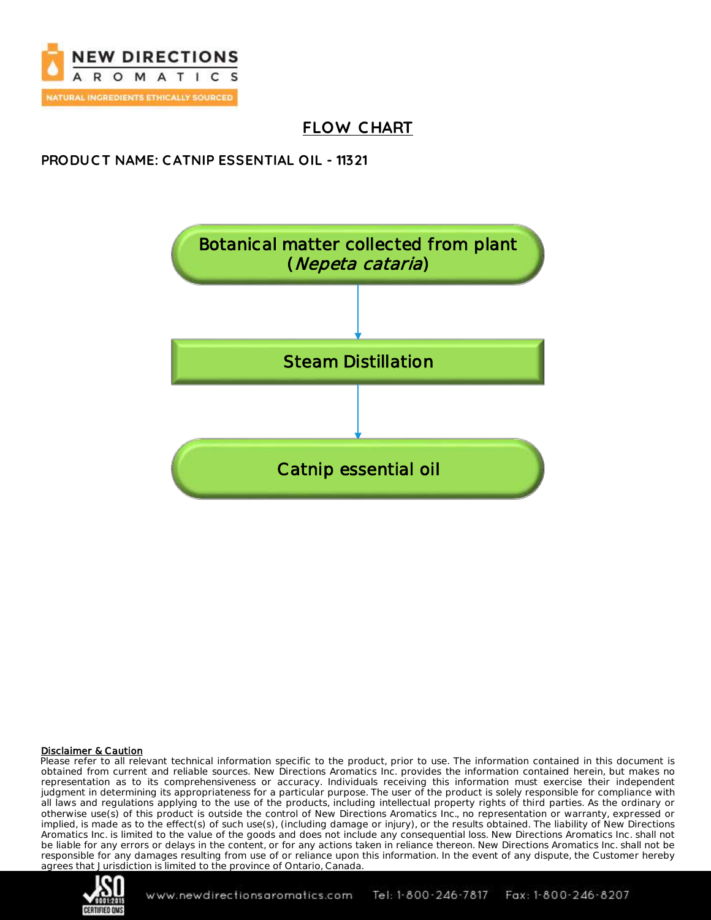

# **FLOW C HART**

## **PRODUC T NAME: C ATNIP ESSENTIAL OIL - 11321**



### Disclaimer & Caution

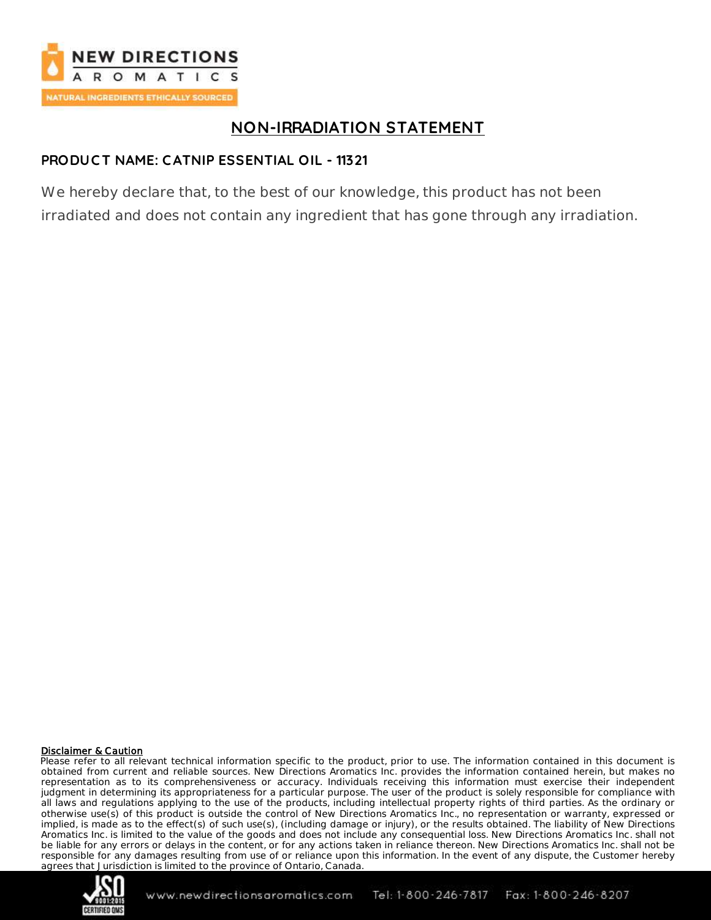

# **NON-IRRADIATION STATEMENT**

## **PRODUC T NAME: C ATNIP ESSENTIAL OIL - 11321**

We hereby declare that, to the best of our knowledge, this product has not been irradiated and does not contain any ingredient that has gone through any irradiation.

### Disclaimer & Caution

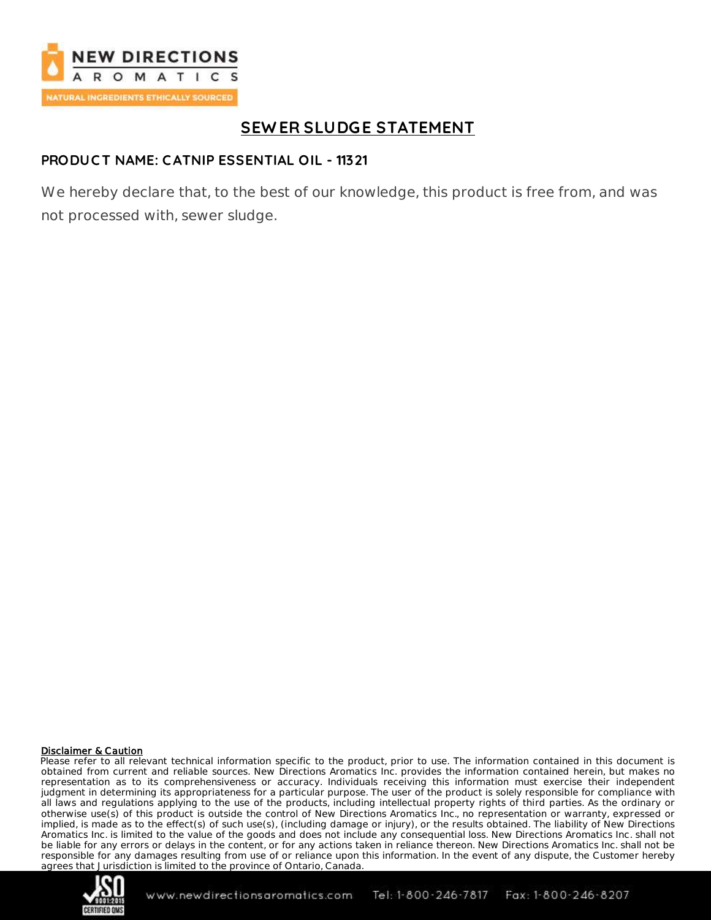

# **SEW ER SLUDGE STATEMENT**

## **PRODUC T NAME: C ATNIP ESSENTIAL OIL - 11321**

We hereby declare that, to the best of our knowledge, this product is free from, and was not processed with, sewer sludge.

### Disclaimer & Caution

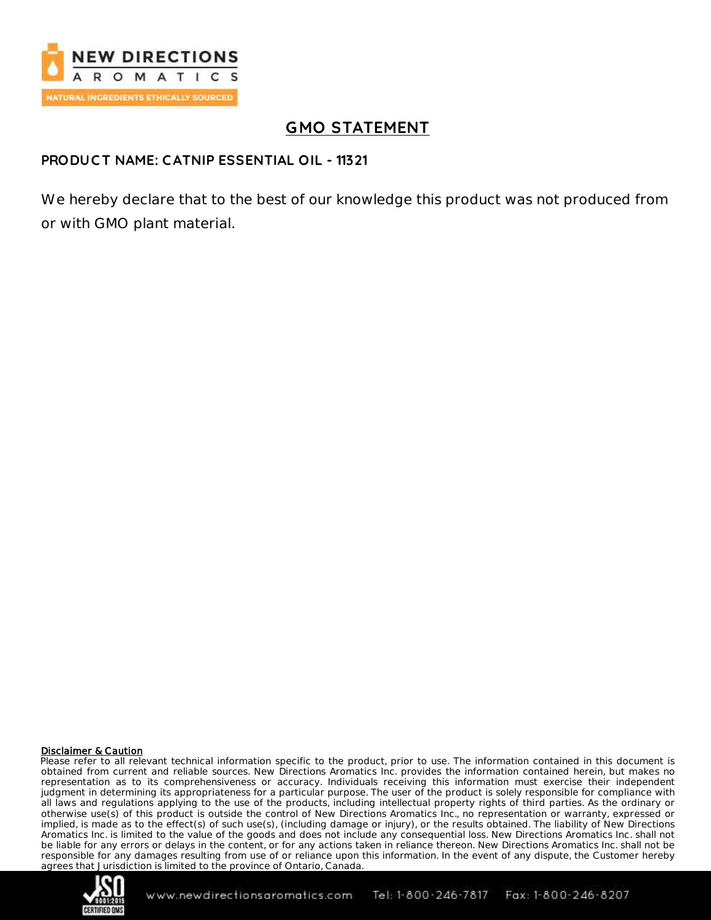

# **GMO STATEMENT**

## **PRODUC T NAME: C ATNIP ESSENTIAL OIL - 11321**

We hereby declare that to the best of our knowledge this product was not produced from or with GMO plant material.

### Disclaimer & Caution

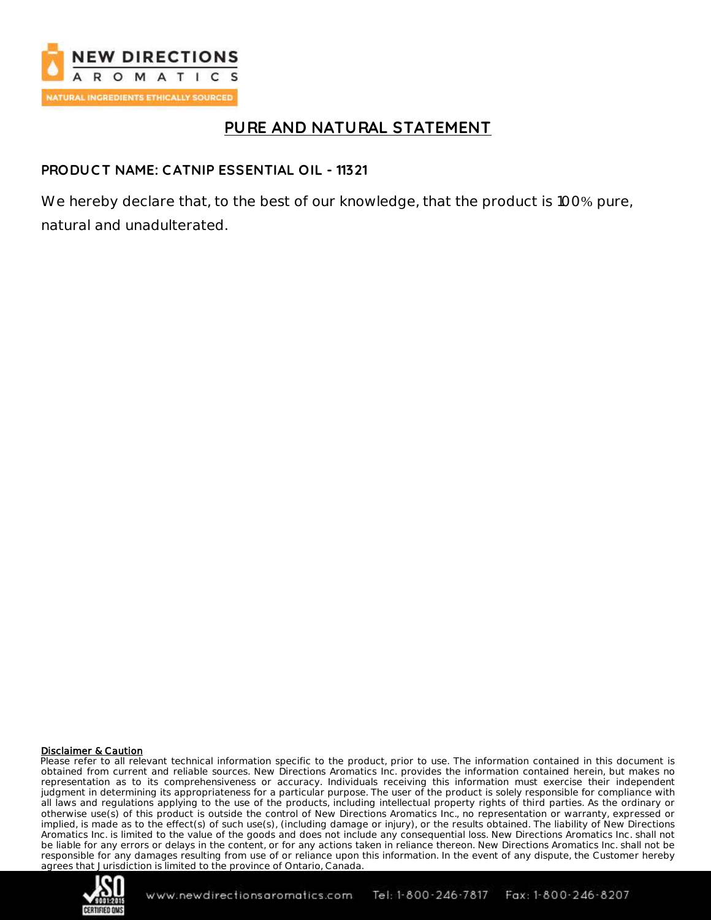

## **PURE AND NATURAL STATEMENT**

## **PRODUC T NAME: C ATNIP ESSENTIAL OIL - 11321**

We hereby declare that, to the best of our knowledge, that the product is 100% pure, natural and unadulterated.

### Disclaimer & Caution

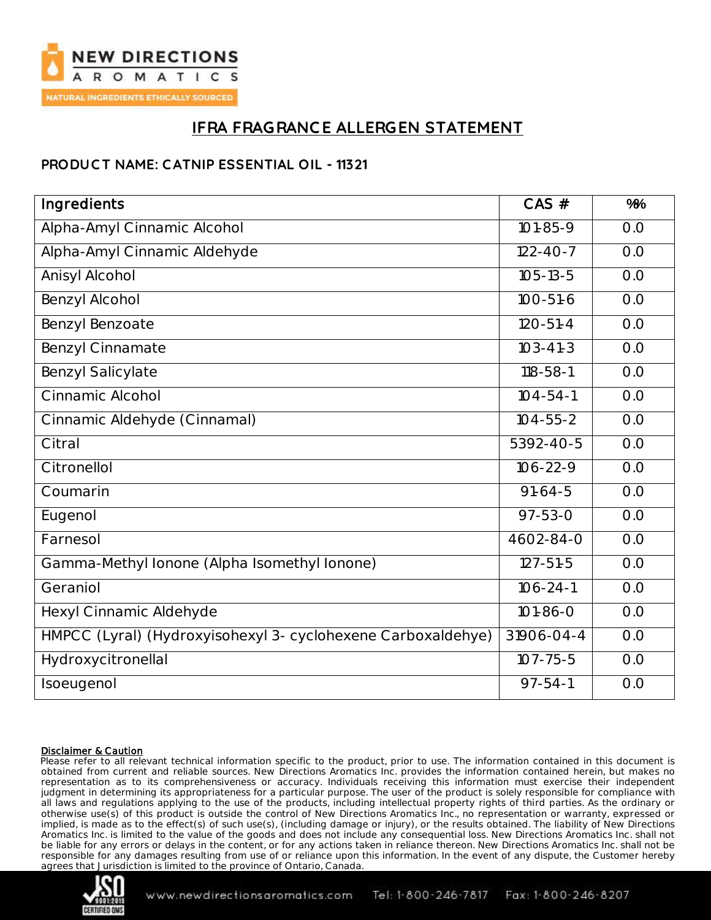

# **IFRA FRAGRANC E ALLERGEN STATEMENT**

## **PRODUC T NAME: C ATNIP ESSENTIAL OIL - 11321**

| Ingredients                                                  | $CAS$ #             | %   |
|--------------------------------------------------------------|---------------------|-----|
| Alpha-Amyl Cinnamic Alcohol                                  | $101 - 85 - 9$      | O.O |
| Alpha-Amyl Cinnamic Aldehyde                                 | $122 - 40 - 7$      | O.O |
| Anisyl Alcohol                                               | $105 - 13 - 5$      | O.O |
| Benzyl Alcohol                                               | $100 - 51 - 6$      | O.O |
| Benzyl Benzoate                                              | $120 - 51 - 4$      | O.O |
| <b>Benzyl Cinnamate</b>                                      | $103 - 41 - 3$      | O.O |
| <b>Benzyl Salicylate</b>                                     | $118 - 58 - 1$      | O.O |
| Cinnamic Alcohol                                             | $104 - 54 - 1$      | O.O |
| Cinnamic Aldehyde (Cinnamal)                                 | $104 - 55 - 2$      | O.O |
| Citral                                                       | 5392-40-5           | O.O |
| Citronellol                                                  | $\frac{106-22}{-9}$ | O.O |
| Coumarin                                                     | $91-64-5$           | O.O |
| Eugenol                                                      | $97 - 53 - 0$       | O.O |
| Farnesol                                                     | 4602-84-0           | O.O |
| Gamma-Methyl Ionone (Alpha Isomethyl Ionone)                 | $127 - 51 - 5$      | O.O |
| Geraniol                                                     | $106 - 24 - 1$      | O.O |
| Hexyl Cinnamic Aldehyde                                      | $101 - 86 - 0$      | O.O |
| HMPCC (Lyral) (Hydroxyisohexyl 3- cyclohexene Carboxaldehye) | 31906-04-4          | O.O |
| Hydroxycitronellal                                           | $107 - 75 - 5$      | O.O |
| Isoeugenol                                                   | $97 - 54 - 1$       | O.O |

### Disclaimer & Caution

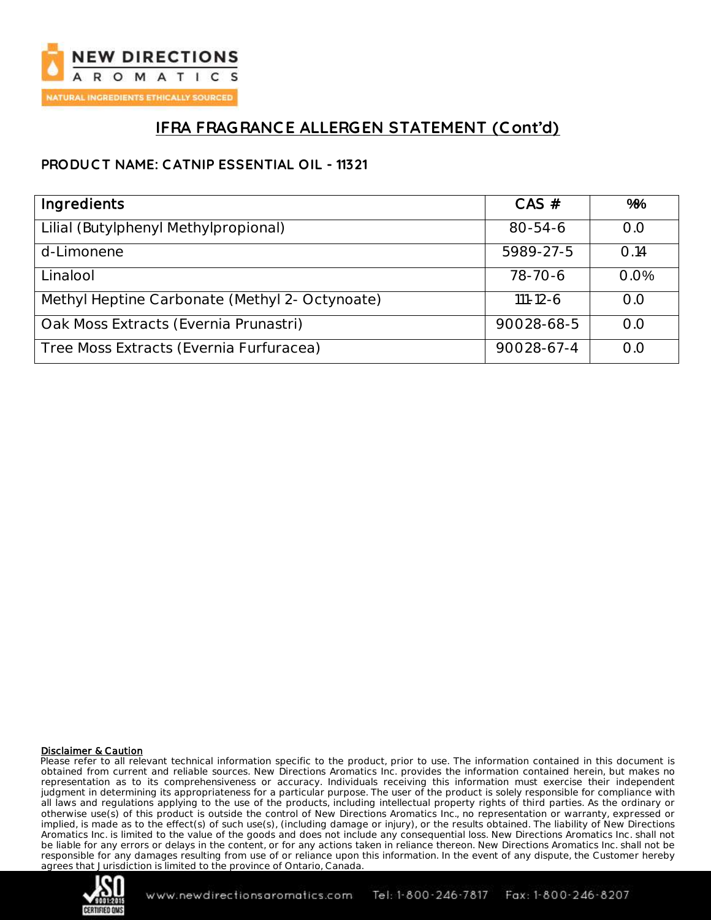

# **IFRA FRAGRANC E ALLERGEN STATEMENT (C ont'd)**

## **PRODUC T NAME: C ATNIP ESSENTIAL OIL - 11321**

| Ingredients                                    | $CAS$ #        | %%   |
|------------------------------------------------|----------------|------|
| Lilial (Butylphenyl Methylpropional)           | $80 - 54 - 6$  | O.O  |
| d-Limonene                                     | 5989-27-5      | 0.14 |
| Linalool                                       | 78-70-6        | 0.0% |
| Methyl Heptine Carbonate (Methyl 2- Octynoate) | $111 - 12 - 6$ | O.O  |
| Oak Moss Extracts (Evernia Prunastri)          | 90028-68-5     | O.O  |
| Tree Moss Extracts (Evernia Furfuracea)        | 90028-67-4     | O.O  |

### Disclaimer & Caution

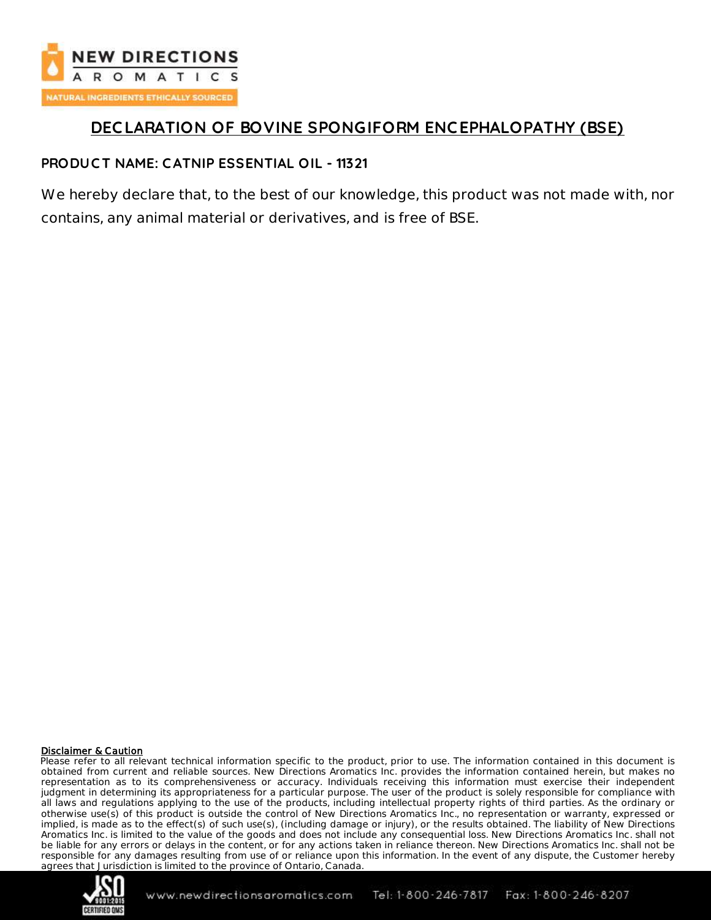

# **DEC LARATION OF BOVINE SPONGIFORM ENC EPHALOPATHY (BSE)**

## **PRODUC T NAME: C ATNIP ESSENTIAL OIL - 11321**

We hereby declare that, to the best of our knowledge, this product was not made with, nor contains, any animal material or derivatives, and is free of BSE.

### Disclaimer & Caution

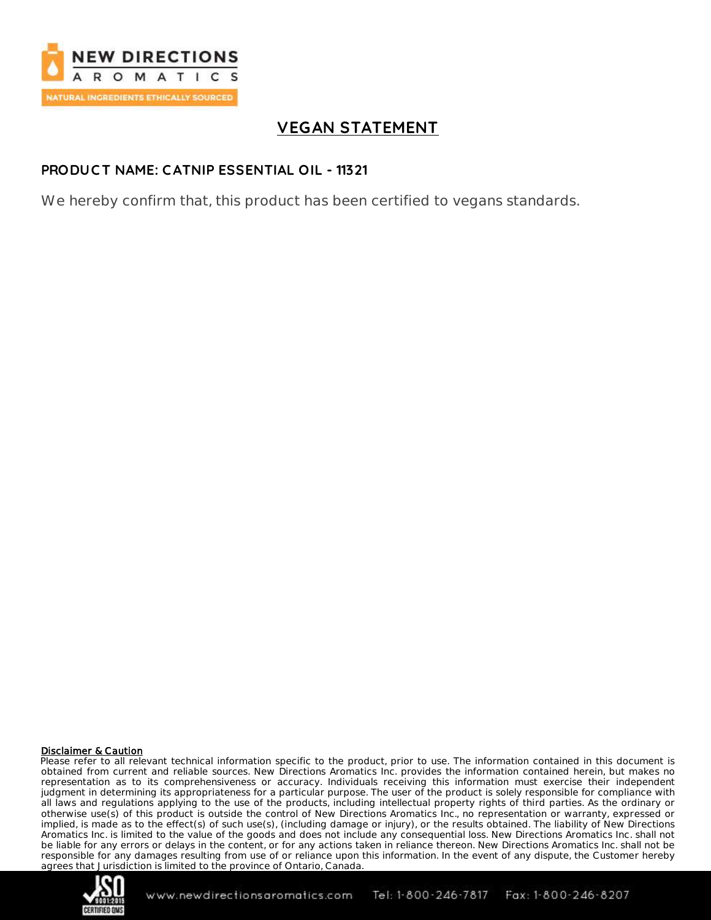

# **VEGAN STATEMENT**

## **PRODUC T NAME: C ATNIP ESSENTIAL OIL - 11321**

We hereby confirm that, this product has been certified to vegans standards.

### Disclaimer & Caution